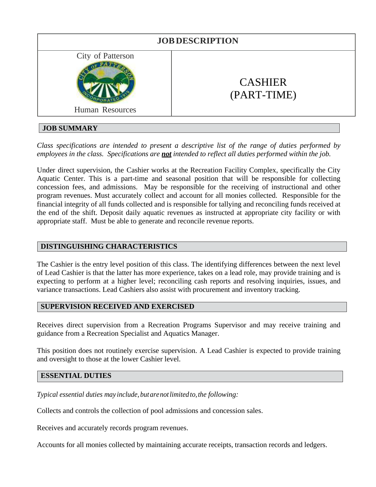

# **JOB SUMMARY**

*Class specifications are intended to present a descriptive list of the range of duties performed by employees in the class. Specifications are not intended to reflect all duties performed within the job.*

Under direct supervision, the Cashier works at the Recreation Facility Complex, specifically the City Aquatic Center. This is a part-time and seasonal position that will be responsible for collecting concession fees, and admissions. May be responsible for the receiving of instructional and other program revenues. Must accurately collect and account for all monies collected. Responsible for the financial integrity of all funds collected and is responsible for tallying and reconciling funds received at the end of the shift. Deposit daily aquatic revenues as instructed at appropriate city facility or with appropriate staff. Must be able to generate and reconcile revenue reports.

# **DISTINGUISHING CHARACTERISTICS**

The Cashier is the entry level position of this class. The identifying differences between the next level of Lead Cashier is that the latter has more experience, takes on a lead role, may provide training and is expecting to perform at a higher level; reconciling cash reports and resolving inquiries, issues, and variance transactions. Lead Cashiers also assist with procurement and inventory tracking.

# **SUPERVISION RECEIVED AND EXERCISED**

Receives direct supervision from a Recreation Programs Supervisor and may receive training and guidance from a Recreation Specialist and Aquatics Manager.

This position does not routinely exercise supervision. A Lead Cashier is expected to provide training and oversight to those at the lower Cashier level.

#### **ESSENTIAL DUTIES**

*Typical essential duties may include, but are not limited to, the following:* 

Collects and controls the collection of pool admissions and concession sales.

Receives and accurately records program revenues.

Accounts for all monies collected by maintaining accurate receipts, transaction records and ledgers.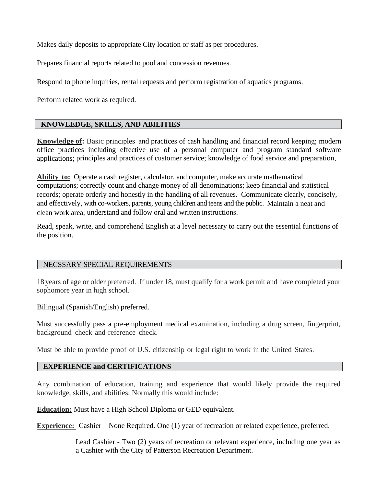Makes daily deposits to appropriate City location or staff as per procedures.

Prepares financial reports related to pool and concession revenues.

Respond to phone inquiries, rental requests and perform registration of aquatics programs.

Perform related work as required.

# **KNOWLEDGE, SKILLS, AND ABILITIES**

**Knowledge of:** Basic principles and practices of cash handling and financial record keeping; modern office practices including effective use of a personal computer and program standard software applications; principles and practices of customer service; knowledge of food service and preparation.

**Ability to:** Operate a cash register, calculator, and computer, make accurate mathematical computations; correctly count and change money of all denominations; keep financial and statistical records; operate orderly and honestly in the handling of all revenues. Communicate clearly, concisely, and effectively, with co-workers, parents, young children and teens and the public. Maintain a neat and clean work area; understand and follow oral and written instructions.

Read, speak, write, and comprehend English at a level necessary to carry out the essential functions of the position.

#### NECSSARY SPECIAL REQUIREMENTS

18 years of age or older preferred. If under 18, must qualify for a work permit and have completed your sophomore year in high school.

Bilingual (Spanish/English) preferred.

Must successfully pass a pre-employment medical examination, including a drug screen, fingerprint, background check and reference check.

Must be able to provide proof of U.S. citizenship or legal right to work in the United States.

# **EXPERIENCE and CERTIFICATIONS**

Any combination of education, training and experience that would likely provide the required knowledge, skills, and abilities: Normally this would include:

**Education:** Must have a High School Diploma or GED equivalent.

**Experience:** Cashier – None Required. One (1) year of recreation or related experience, preferred.

Lead Cashier - Two (2) years of recreation or relevant experience, including one year as a Cashier with the City of Patterson Recreation Department.